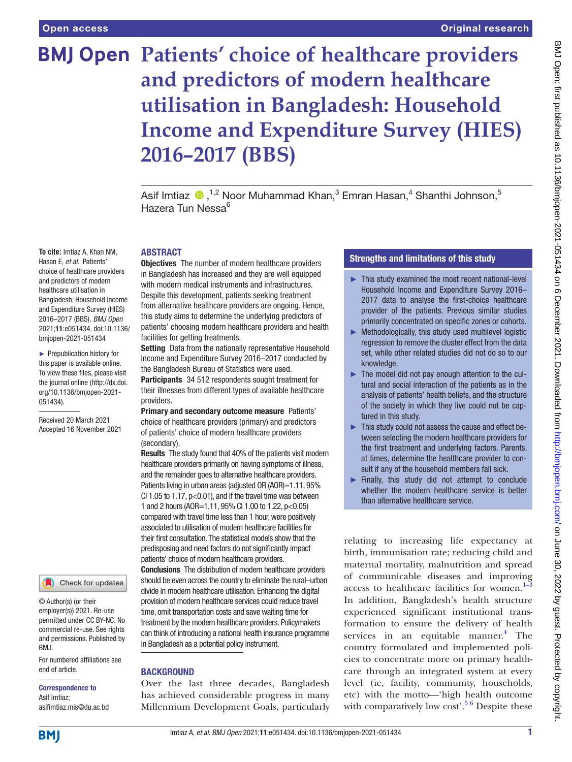**To cite:** Imtiaz A, Khan NM, Hasan E, *et al*. Patients' choice of healthcare providers and predictors of modern healthcare utilisation in Bangladesh: Household Income and Expenditure Survey (HIES) 2016–2017 (BBS). *BMJ Open* 2021;11:e051434. doi:10.1136/ bmjopen-2021-051434 ► Prepublication history for this paper is available online. To view these files, please visit the journal online [\(http://dx.doi.](http://dx.doi.org/10.1136/bmjopen-2021-051434) [org/10.1136/bmjopen-2021-](http://dx.doi.org/10.1136/bmjopen-2021-051434)

[051434\)](http://dx.doi.org/10.1136/bmjopen-2021-051434).

Received 20 March 2021 Accepted 16 November 2021

# **BMJ Open Patients' choice of healthcare providers and predictors of modern healthcare utilisation in Bangladesh: Household Income and Expenditure Survey (HIES) 2016–2017 (BBS)**

Asif Imtiaz  $\bullet$  ,<sup>1,2</sup> Noor Muhammad Khan,<sup>3</sup> Emran Hasan,<sup>4</sup> Shanthi Johnson,<sup>5</sup> Hazera Tun Nessa<sup>6</sup>

#### ABSTRACT

**Objectives** The number of modern healthcare providers in Bangladesh has increased and they are well equipped with modern medical instruments and infrastructures. Despite this development, patients seeking treatment from alternative healthcare providers are ongoing. Hence, this study aims to determine the underlying predictors of patients' choosing modern healthcare providers and health facilities for getting treatments.

Setting Data from the nationally representative Household Income and Expenditure Survey 2016–2017 conducted by the Bangladesh Bureau of Statistics were used. Participants 34 512 respondents sought treatment for their illnesses from different types of available healthcare providers.

Primary and secondary outcome measure Patients' choice of healthcare providers (primary) and predictors of patients' choice of modern healthcare providers (secondary).

Results The study found that 40% of the patients visit modern healthcare providers primarily on having symptoms of illness, and the remainder goes to alternative healthcare providers. Patients living in urban areas (adiusted OR (AOR)=1.11, 95% CI 1.05 to 1.17,  $p<0.01$ ), and if the travel time was between 1 and 2 hours (AOR=1.11, 95% CI 1.00 to 1.22, p<0.05) compared with travel time less than 1 hour, were positively associated to utilisation of modern healthcare facilities for their first consultation. The statistical models show that the predisposing and need factors do not significantly impact patients' choice of modern healthcare providers.

**Conclusions** The distribution of modern healthcare providers should be even across the country to eliminate the rural–urban divide in modern healthcare utilisation. Enhancing the digital provision of modern healthcare services could reduce travel time, omit transportation costs and save waiting time for treatment by the modern healthcare providers. Policymakers can think of introducing a national health insurance programme in Bangladesh as a potential policy instrument.

#### **BACKGROUND**

Over the last three decades, Bangladesh has achieved considerable progress in many Millennium Development Goals, particularly

# Strengths and limitations of this study

- ► This study examined the most recent national-level Household Income and Expenditure Survey 2016– 2017 data to analyse the first-choice healthcare provider of the patients. Previous similar studies primarily concentrated on specific zones or cohorts.
- ► Methodologically, this study used multilevel logistic regression to remove the cluster effect from the data set, while other related studies did not do so to our knowledge.
- ► The model did not pay enough attention to the cultural and social interaction of the patients as in the analysis of patients' health beliefs, and the structure of the society in which they live could not be captured in this study.
- ► This study could not assess the cause and effect between selecting the modern healthcare providers for the first treatment and underlying factors. Parents, at times, determine the healthcare provider to consult if any of the household members fall sick.
- ► Finally, this study did not attempt to conclude whether the modern healthcare service is better than alternative healthcare service.

relating to increasing life expectancy at birth, immunisation rate; reducing child and maternal mortality, malnutrition and spread of communicable diseases and improving access to healthcare facilities for women. $1-3$ In addition, Bangladesh's health structure experienced significant institutional transformation to ensure the delivery of health services in an equitable manner.<sup>[4](#page-9-1)</sup> The country formulated and implemented policies to concentrate more on primary healthcare through an integrated system at every level (ie, facility, community, households, etc) with the motto—'high health outcome with comparatively low cost'.<sup>5 6</sup> Despite these

BMJ Open: first published as 10.1136/bmjopen-2021-051434 on 6 December 2021. Downloaded from <http://bmjopen.bmj.com/> on June 30, 2022 by guest. Protected by copyright.

# Asif Imtiaz; asifimtiaz.mis@du.ac.bd

end of article.

BMJ.

Correspondence to

© Author(s) (or their employer(s)) 2021. Re-use permitted under CC BY-NC. No commercial re-use. See rights and permissions. Published by

For numbered affiliations see

Check for updates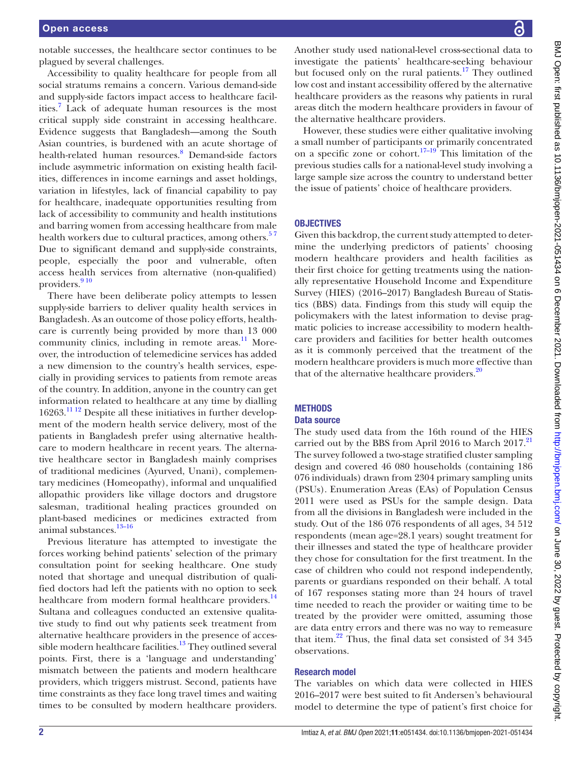notable successes, the healthcare sector continues to be plagued by several challenges.

Accessibility to quality healthcare for people from all social stratums remains a concern. Various demand-side and supply-side factors impact access to healthcare facilities.<sup>7</sup> Lack of adequate human resources is the most critical supply side constraint in accessing healthcare. Evidence suggests that Bangladesh—among the South Asian countries, is burdened with an acute shortage of health-related human resources.<sup>[8](#page-9-4)</sup> Demand-side factors include asymmetric information on existing health facilities, differences in income earnings and asset holdings, variation in lifestyles, lack of financial capability to pay for healthcare, inadequate opportunities resulting from lack of accessibility to community and health institutions and barring women from accessing healthcare from male health workers due to cultural practices, among others.<sup>57</sup> Due to significant demand and supply-side constraints, people, especially the poor and vulnerable, often access health services from alternative (non-qualified) providers.<sup>910</sup>

There have been deliberate policy attempts to lessen supply-side barriers to deliver quality health services in Bangladesh. As an outcome of those policy efforts, healthcare is currently being provided by more than 13 000 community clinics, including in remote areas. $11$  Moreover, the introduction of telemedicine services has added a new dimension to the country's health services, especially in providing services to patients from remote areas of the country. In addition, anyone in the country can get information related to healthcare at any time by dialling 16263[.11 12](#page-9-6) Despite all these initiatives in further development of the modern health service delivery, most of the patients in Bangladesh prefer using alternative healthcare to modern healthcare in recent years. The alternative healthcare sector in Bangladesh mainly comprises of traditional medicines (Ayurved, Unani), complementary medicines (Homeopathy), informal and unqualified allopathic providers like village doctors and drugstore salesman, traditional healing practices grounded on plant-based medicines or medicines extracted from animal substances.<sup>13-16</sup>

Previous literature has attempted to investigate the forces working behind patients' selection of the primary consultation point for seeking healthcare. One study noted that shortage and unequal distribution of qualified doctors had left the patients with no option to seek healthcare from modern formal healthcare providers.<sup>14</sup> Sultana and colleagues conducted an extensive qualitative study to find out why patients seek treatment from alternative healthcare providers in the presence of accessible modern healthcare facilities. $13$  They outlined several points. First, there is a 'language and understanding' mismatch between the patients and modern healthcare providers, which triggers mistrust. Second, patients have time constraints as they face long travel times and waiting times to be consulted by modern healthcare providers.

Another study used national-level cross-sectional data to investigate the patients' healthcare-seeking behaviour but focused only on the rural patients.<sup>[17](#page-9-9)</sup> They outlined low cost and instant accessibility offered by the alternative healthcare providers as the reasons why patients in rural areas ditch the modern healthcare providers in favour of the alternative healthcare providers.

However, these studies were either qualitative involving a small number of participants or primarily concentrated on a specific zone or cohort.<sup>[17–19](#page-9-9)</sup> This limitation of the previous studies calls for a national-level study involving a large sample size across the country to understand better the issue of patients' choice of healthcare providers.

## **OBJECTIVES**

Given this backdrop, the current study attempted to determine the underlying predictors of patients' choosing modern healthcare providers and health facilities as their first choice for getting treatments using the nationally representative Household Income and Expenditure Survey (HIES) (2016–2017) Bangladesh Bureau of Statistics (BBS) data. Findings from this study will equip the policymakers with the latest information to devise pragmatic policies to increase accessibility to modern healthcare providers and facilities for better health outcomes as it is commonly perceived that the treatment of the modern healthcare providers is much more effective than that of the alternative healthcare providers. $20$ 

#### **METHODS**

## Data source

The study used data from the 16th round of the HIES carried out by the BBS from April 2016 to March 2017.<sup>[21](#page-9-11)</sup> The survey followed a two-stage stratified cluster sampling design and covered 46 080 households (containing 186 076 individuals) drawn from 2304 primary sampling units (PSUs). Enumeration Areas (EAs) of Population Census 2011 were used as PSUs for the sample design. Data from all the divisions in Bangladesh were included in the study. Out of the 186 076 respondents of all ages, 34 512 respondents (mean age=28.1 years) sought treatment for their illnesses and stated the type of healthcare provider they chose for consultation for the first treatment. In the case of children who could not respond independently, parents or guardians responded on their behalf. A total of 167 responses stating more than 24 hours of travel time needed to reach the provider or waiting time to be treated by the provider were omitted, assuming those are data entry errors and there was no way to remeasure that item.<sup>22</sup> Thus, the final data set consisted of 34 345 observations.

# Research model

The variables on which data were collected in HIES 2016–2017 were best suited to fit Andersen's behavioural model to determine the type of patient's first choice for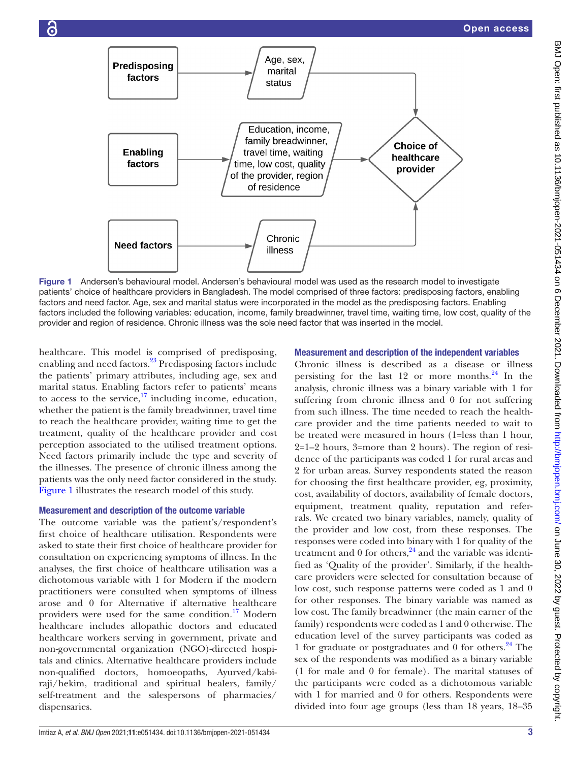

<span id="page-2-0"></span>Figure 1 Andersen's behavioural model. Andersen's behavioural model was used as the research model to investigate patients' choice of healthcare providers in Bangladesh. The model comprised of three factors: predisposing factors, enabling factors and need factor. Age, sex and marital status were incorporated in the model as the predisposing factors. Enabling factors included the following variables: education, income, family breadwinner, travel time, waiting time, low cost, quality of the provider and region of residence. Chronic illness was the sole need factor that was inserted in the model.

healthcare. This model is comprised of predisposing, enabling and need factors[.23](#page-9-13) Predisposing factors include the patients' primary attributes, including age, sex and marital status. Enabling factors refer to patients' means to access to the service, $17$  including income, education, whether the patient is the family breadwinner, travel time to reach the healthcare provider, waiting time to get the treatment, quality of the healthcare provider and cost perception associated to the utilised treatment options. Need factors primarily include the type and severity of the illnesses. The presence of chronic illness among the patients was the only need factor considered in the study. [Figure](#page-2-0) 1 illustrates the research model of this study.

#### Measurement and description of the outcome variable

The outcome variable was the patient's/respondent's first choice of healthcare utilisation. Respondents were asked to state their first choice of healthcare provider for consultation on experiencing symptoms of illness. In the analyses, the first choice of healthcare utilisation was a dichotomous variable with 1 for Modern if the modern practitioners were consulted when symptoms of illness arose and 0 for Alternative if alternative healthcare providers were used for the same condition.<sup>17</sup> Modern healthcare includes allopathic doctors and educated healthcare workers serving in government, private and non-governmental organization (NGO)-directed hospitals and clinics. Alternative healthcare providers include non-qualified doctors, homoeopaths, Ayurved/kabiraji/hekim, traditional and spiritual healers, family/ self-treatment and the salespersons of pharmacies/ dispensaries.

# Measurement and description of the independent variables

Chronic illness is described as a disease or illness persisting for the last 12 or more months. $24$  In the analysis, chronic illness was a binary variable with 1 for suffering from chronic illness and 0 for not suffering from such illness. The time needed to reach the healthcare provider and the time patients needed to wait to be treated were measured in hours (1=less than 1 hour, 2=1–2 hours, 3=more than 2 hours). The region of residence of the participants was coded 1 for rural areas and 2 for urban areas. Survey respondents stated the reason for choosing the first healthcare provider, eg, proximity, cost, availability of doctors, availability of female doctors, equipment, treatment quality, reputation and referrals. We created two binary variables, namely, quality of the provider and low cost, from these responses. The responses were coded into binary with 1 for quality of the treatment and  $0$  for others,<sup>24</sup> and the variable was identified as 'Quality of the provider'. Similarly, if the healthcare providers were selected for consultation because of low cost, such response patterns were coded as 1 and 0 for other responses. The binary variable was named as low cost. The family breadwinner (the main earner of the family) respondents were coded as 1 and 0 otherwise. The education level of the survey participants was coded as 1 for graduate or postgraduates and 0 for others.<sup>24</sup> The sex of the respondents was modified as a binary variable (1 for male and 0 for female). The marital statuses of the participants were coded as a dichotomous variable with 1 for married and 0 for others. Respondents were divided into four age groups (less than 18 years, 18–35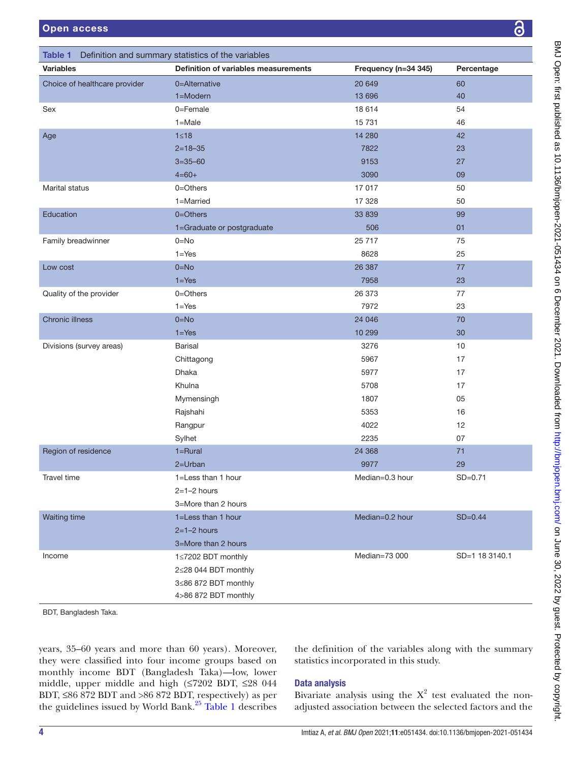<span id="page-3-0"></span>

| Table 1                       | Definition and summary statistics of the variables |                      |                |
|-------------------------------|----------------------------------------------------|----------------------|----------------|
| <b>Variables</b>              | Definition of variables measurements               | Frequency (n=34 345) | Percentage     |
| Choice of healthcare provider | 0=Alternative                                      | 20 649               | 60             |
|                               | $1 = Modern$                                       | 13 696               | 40             |
| Sex                           | 0=Female                                           | 18 614               | 54             |
|                               | $1 = Male$                                         | 15 7 31              | 46             |
| Age                           | $1 \leq 18$                                        | 14 280               | 42             |
|                               | $2 = 18 - 35$                                      | 7822                 | 23             |
|                               | $3 = 35 - 60$                                      | 9153                 | 27             |
|                               | $4 = 60 +$                                         | 3090                 | 09             |
| <b>Marital status</b>         | $0 = 0$ thers                                      | 17 017               | 50             |
|                               | 1=Married                                          | 17 328               | 50             |
| Education                     | $0 = 0$ thers                                      | 33 839               | 99             |
|                               | 1=Graduate or postgraduate                         | 506                  | 01             |
| Family breadwinner            | $0 = No$                                           | 25 717               | 75             |
|                               | $1 = Yes$                                          | 8628                 | 25             |
| Low cost                      | $0 = No$                                           | 26 387               | 77             |
|                               | $1 = Yes$                                          | 7958                 | 23             |
| Quality of the provider       | $0 = 0$ thers                                      | 26 373               | 77             |
|                               | $1 = Yes$                                          | 7972                 | 23             |
| <b>Chronic illness</b>        | $0 = No$                                           | 24 046               | 70             |
|                               | $1 = Yes$                                          | 10 299               | 30             |
| Divisions (survey areas)      | <b>Barisal</b>                                     | 3276                 | 10             |
|                               | Chittagong                                         | 5967                 | 17             |
|                               | <b>Dhaka</b>                                       | 5977                 | 17             |
|                               | Khulna                                             | 5708                 | 17             |
|                               | Mymensingh                                         | 1807                 | 05             |
|                               | Rajshahi                                           | 5353                 | 16             |
|                               | Rangpur                                            | 4022                 | 12             |
|                               | Sylhet                                             | 2235                 | 07             |
| Region of residence           | $1 = Rural$                                        | 24 3 68              | 71             |
|                               | $2 = Urban$                                        | 9977                 | 29             |
| Travel time                   | 1=Less than 1 hour                                 | Median=0.3 hour      | $SD = 0.71$    |
|                               | $2=1-2$ hours                                      |                      |                |
|                               | 3=More than 2 hours                                |                      |                |
| <b>Waiting time</b>           | 1=Less than 1 hour                                 | Median=0.2 hour      | $SD=0.44$      |
|                               | $2=1-2$ hours                                      |                      |                |
|                               | 3=More than 2 hours                                |                      |                |
| Income                        | 1≤7202 BDT monthly                                 | Median=73 000        | SD=1 18 3140.1 |
|                               | 2≤28 044 BDT monthly                               |                      |                |
|                               | 3≤86 872 BDT monthly                               |                      |                |
|                               | 4>86 872 BDT monthly                               |                      |                |
| BDT, Bangladesh Taka.         |                                                    |                      |                |

years, 35–60 years and more than 60 years). Moreover, they were classified into four income groups based on monthly income BDT (Bangladesh Taka)—low, lower middle, upper middle and high (≤7202 BDT, ≤28 044 BDT,  $\leq 86$  872 BDT and  $> 86$  872 BDT, respectively) as per the guidelines issued by World Bank.[25](#page-9-15) [Table](#page-3-0) 1 describes

the definition of the variables along with the summary statistics incorporated in this study.

# Data analysis

Bivariate analysis using the  $X^2$  test evaluated the nonadjusted association between the selected factors and the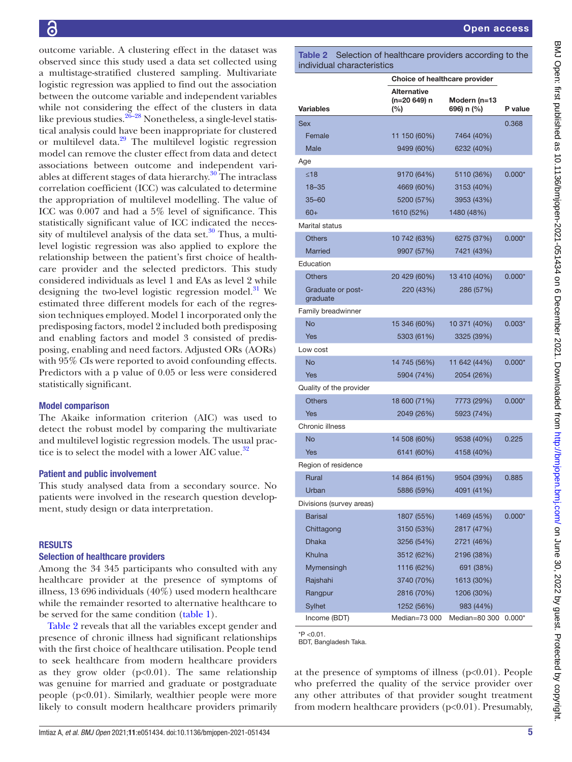outcome variable. A clustering effect in the dataset was observed since this study used a data set collected using a multistage-stratified clustered sampling. Multivariate logistic regression was applied to find out the association between the outcome variable and independent variables while not considering the effect of the clusters in data like previous studies.  $26-28$  Nonetheless, a single-level statistical analysis could have been inappropriate for clustered or multilevel data.[29](#page-9-17) The multilevel logistic regression model can remove the cluster effect from data and detect associations between outcome and independent variables at different stages of data hierarchy. $30$  The intraclass correlation coefficient (ICC) was calculated to determine the appropriation of multilevel modelling. The value of ICC was 0.007 and had a 5% level of significance. This statistically significant value of ICC indicated the necessity of multilevel analysis of the data set. $30$  Thus, a multilevel logistic regression was also applied to explore the relationship between the patient's first choice of healthcare provider and the selected predictors. This study considered individuals as level 1 and EAs as level 2 while designing the two-level logistic regression model.<sup>[31](#page-9-19)</sup> We estimated three different models for each of the regression techniques employed. Model 1 incorporated only the predisposing factors, model 2 included both predisposing and enabling factors and model 3 consisted of predisposing, enabling and need factors. Adjusted ORs (AORs) with 95% CIs were reported to avoid confounding effects. Predictors with a p value of 0.05 or less were considered statistically significant.

#### Model comparison

The Akaike information criterion (AIC) was used to detect the robust model by comparing the multivariate and multilevel logistic regression models. The usual prac-tice is to select the model with a lower AIC value.<sup>[32](#page-9-20)</sup>

#### Patient and public involvement

This study analysed data from a secondary source. No patients were involved in the research question development, study design or data interpretation.

### **RESULTS**

#### Selection of healthcare providers

Among the 34 345 participants who consulted with any healthcare provider at the presence of symptoms of illness, 13 696 individuals (40%) used modern healthcare while the remainder resorted to alternative healthcare to be served for the same condition [\(table](#page-3-0) 1).

[Table](#page-4-0) 2 reveals that all the variables except gender and presence of chronic illness had significant relationships with the first choice of healthcare utilisation. People tend to seek healthcare from modern healthcare providers as they grow older  $(p<0.01)$ . The same relationship was genuine for married and graduate or postgraduate people  $(p<0.01)$ . Similarly, wealthier people were more likely to consult modern healthcare providers primarily

<span id="page-4-0"></span>Table 2 Selection of healthcare providers according to the individual characteristics

| <b>Alternative</b><br>(n=20 649) n<br>Modern (n=13<br><b>Variables</b><br>696) n (%)<br>P value<br>$(\%)$<br><b>Sex</b><br>0.368<br>Female<br>11 150 (60%)<br>7464 (40%)<br>Male<br>9499 (60%)<br>6232 (40%)<br>Age<br>< 18<br>9170 (64%)<br>5110 (36%)<br>$0.000*$<br>$18 - 35$<br>4669 (60%)<br>3153 (40%)<br>$35 - 60$<br>5200 (57%)<br>3953 (43%)<br>$60+$<br>1610 (52%)<br>1480 (48%)<br><b>Marital status</b><br><b>Others</b><br>10 742 (63%)<br>6275 (37%)<br>$0.000*$<br><b>Married</b><br>9907 (57%)<br>7421 (43%)<br>Education<br><b>Others</b><br>20 429 (60%)<br>13 410 (40%)<br>$0.000*$<br>220 (43%)<br>Graduate or post-<br>286 (57%)<br>graduate<br>Family breadwinner<br><b>No</b><br>10 371 (40%)<br>15 346 (60%)<br>$0.003*$<br>Yes<br>5303 (61%)<br>3325 (39%)<br>Low cost<br><b>No</b><br>14 745 (56%)<br>11 642 (44%)<br>$0.000*$<br>Yes<br>5904 (74%)<br>2054 (26%)<br>Quality of the provider<br><b>Others</b><br>18 600 (71%)<br>$0.000*$<br>7773 (29%)<br>Yes<br>2049 (26%)<br>5923 (74%)<br>Chronic illness<br><b>No</b><br>14 508 (60%)<br>0.225<br>9538 (40%)<br>6141 (60%)<br>4158 (40%)<br>Yes<br>Region of residence<br><b>Rural</b><br>14 864 (61%)<br>0.885<br>9504 (39%)<br>5886 (59%)<br>4091 (41%)<br>Urban<br>Divisions (survey areas)<br><b>Barisal</b><br>1807 (55%)<br>1469 (45%)<br>$0.000*$<br>3150 (53%)<br>2817 (47%)<br>Chittagong<br><b>Dhaka</b><br>3256 (54%)<br>2721 (46%)<br>Khulna<br>3512 (62%)<br>2196 (38%)<br>Mymensingh<br>1116 (62%)<br>691 (38%)<br>Rajshahi<br>3740 (70%)<br>1613 (30%)<br>2816 (70%)<br>1206 (30%)<br>Rangpur<br>Sylhet<br>1252 (56%)<br>983 (44%)<br>Median=73 000<br>Median=80 300<br>Income (BDT)<br>$0.000*$ | Choice of healthcare provider |  |  |
|------------------------------------------------------------------------------------------------------------------------------------------------------------------------------------------------------------------------------------------------------------------------------------------------------------------------------------------------------------------------------------------------------------------------------------------------------------------------------------------------------------------------------------------------------------------------------------------------------------------------------------------------------------------------------------------------------------------------------------------------------------------------------------------------------------------------------------------------------------------------------------------------------------------------------------------------------------------------------------------------------------------------------------------------------------------------------------------------------------------------------------------------------------------------------------------------------------------------------------------------------------------------------------------------------------------------------------------------------------------------------------------------------------------------------------------------------------------------------------------------------------------------------------------------------------------------------------------------------------------------------------------------------------------------------------------------|-------------------------------|--|--|
|                                                                                                                                                                                                                                                                                                                                                                                                                                                                                                                                                                                                                                                                                                                                                                                                                                                                                                                                                                                                                                                                                                                                                                                                                                                                                                                                                                                                                                                                                                                                                                                                                                                                                                |                               |  |  |
|                                                                                                                                                                                                                                                                                                                                                                                                                                                                                                                                                                                                                                                                                                                                                                                                                                                                                                                                                                                                                                                                                                                                                                                                                                                                                                                                                                                                                                                                                                                                                                                                                                                                                                |                               |  |  |
|                                                                                                                                                                                                                                                                                                                                                                                                                                                                                                                                                                                                                                                                                                                                                                                                                                                                                                                                                                                                                                                                                                                                                                                                                                                                                                                                                                                                                                                                                                                                                                                                                                                                                                |                               |  |  |
|                                                                                                                                                                                                                                                                                                                                                                                                                                                                                                                                                                                                                                                                                                                                                                                                                                                                                                                                                                                                                                                                                                                                                                                                                                                                                                                                                                                                                                                                                                                                                                                                                                                                                                |                               |  |  |
|                                                                                                                                                                                                                                                                                                                                                                                                                                                                                                                                                                                                                                                                                                                                                                                                                                                                                                                                                                                                                                                                                                                                                                                                                                                                                                                                                                                                                                                                                                                                                                                                                                                                                                |                               |  |  |
|                                                                                                                                                                                                                                                                                                                                                                                                                                                                                                                                                                                                                                                                                                                                                                                                                                                                                                                                                                                                                                                                                                                                                                                                                                                                                                                                                                                                                                                                                                                                                                                                                                                                                                |                               |  |  |
|                                                                                                                                                                                                                                                                                                                                                                                                                                                                                                                                                                                                                                                                                                                                                                                                                                                                                                                                                                                                                                                                                                                                                                                                                                                                                                                                                                                                                                                                                                                                                                                                                                                                                                |                               |  |  |
|                                                                                                                                                                                                                                                                                                                                                                                                                                                                                                                                                                                                                                                                                                                                                                                                                                                                                                                                                                                                                                                                                                                                                                                                                                                                                                                                                                                                                                                                                                                                                                                                                                                                                                |                               |  |  |
|                                                                                                                                                                                                                                                                                                                                                                                                                                                                                                                                                                                                                                                                                                                                                                                                                                                                                                                                                                                                                                                                                                                                                                                                                                                                                                                                                                                                                                                                                                                                                                                                                                                                                                |                               |  |  |
|                                                                                                                                                                                                                                                                                                                                                                                                                                                                                                                                                                                                                                                                                                                                                                                                                                                                                                                                                                                                                                                                                                                                                                                                                                                                                                                                                                                                                                                                                                                                                                                                                                                                                                |                               |  |  |
|                                                                                                                                                                                                                                                                                                                                                                                                                                                                                                                                                                                                                                                                                                                                                                                                                                                                                                                                                                                                                                                                                                                                                                                                                                                                                                                                                                                                                                                                                                                                                                                                                                                                                                |                               |  |  |
|                                                                                                                                                                                                                                                                                                                                                                                                                                                                                                                                                                                                                                                                                                                                                                                                                                                                                                                                                                                                                                                                                                                                                                                                                                                                                                                                                                                                                                                                                                                                                                                                                                                                                                |                               |  |  |
|                                                                                                                                                                                                                                                                                                                                                                                                                                                                                                                                                                                                                                                                                                                                                                                                                                                                                                                                                                                                                                                                                                                                                                                                                                                                                                                                                                                                                                                                                                                                                                                                                                                                                                |                               |  |  |
|                                                                                                                                                                                                                                                                                                                                                                                                                                                                                                                                                                                                                                                                                                                                                                                                                                                                                                                                                                                                                                                                                                                                                                                                                                                                                                                                                                                                                                                                                                                                                                                                                                                                                                |                               |  |  |
|                                                                                                                                                                                                                                                                                                                                                                                                                                                                                                                                                                                                                                                                                                                                                                                                                                                                                                                                                                                                                                                                                                                                                                                                                                                                                                                                                                                                                                                                                                                                                                                                                                                                                                |                               |  |  |
|                                                                                                                                                                                                                                                                                                                                                                                                                                                                                                                                                                                                                                                                                                                                                                                                                                                                                                                                                                                                                                                                                                                                                                                                                                                                                                                                                                                                                                                                                                                                                                                                                                                                                                |                               |  |  |
|                                                                                                                                                                                                                                                                                                                                                                                                                                                                                                                                                                                                                                                                                                                                                                                                                                                                                                                                                                                                                                                                                                                                                                                                                                                                                                                                                                                                                                                                                                                                                                                                                                                                                                |                               |  |  |
|                                                                                                                                                                                                                                                                                                                                                                                                                                                                                                                                                                                                                                                                                                                                                                                                                                                                                                                                                                                                                                                                                                                                                                                                                                                                                                                                                                                                                                                                                                                                                                                                                                                                                                |                               |  |  |
|                                                                                                                                                                                                                                                                                                                                                                                                                                                                                                                                                                                                                                                                                                                                                                                                                                                                                                                                                                                                                                                                                                                                                                                                                                                                                                                                                                                                                                                                                                                                                                                                                                                                                                |                               |  |  |
|                                                                                                                                                                                                                                                                                                                                                                                                                                                                                                                                                                                                                                                                                                                                                                                                                                                                                                                                                                                                                                                                                                                                                                                                                                                                                                                                                                                                                                                                                                                                                                                                                                                                                                |                               |  |  |
|                                                                                                                                                                                                                                                                                                                                                                                                                                                                                                                                                                                                                                                                                                                                                                                                                                                                                                                                                                                                                                                                                                                                                                                                                                                                                                                                                                                                                                                                                                                                                                                                                                                                                                |                               |  |  |
|                                                                                                                                                                                                                                                                                                                                                                                                                                                                                                                                                                                                                                                                                                                                                                                                                                                                                                                                                                                                                                                                                                                                                                                                                                                                                                                                                                                                                                                                                                                                                                                                                                                                                                |                               |  |  |
|                                                                                                                                                                                                                                                                                                                                                                                                                                                                                                                                                                                                                                                                                                                                                                                                                                                                                                                                                                                                                                                                                                                                                                                                                                                                                                                                                                                                                                                                                                                                                                                                                                                                                                |                               |  |  |
|                                                                                                                                                                                                                                                                                                                                                                                                                                                                                                                                                                                                                                                                                                                                                                                                                                                                                                                                                                                                                                                                                                                                                                                                                                                                                                                                                                                                                                                                                                                                                                                                                                                                                                |                               |  |  |
|                                                                                                                                                                                                                                                                                                                                                                                                                                                                                                                                                                                                                                                                                                                                                                                                                                                                                                                                                                                                                                                                                                                                                                                                                                                                                                                                                                                                                                                                                                                                                                                                                                                                                                |                               |  |  |
|                                                                                                                                                                                                                                                                                                                                                                                                                                                                                                                                                                                                                                                                                                                                                                                                                                                                                                                                                                                                                                                                                                                                                                                                                                                                                                                                                                                                                                                                                                                                                                                                                                                                                                |                               |  |  |
|                                                                                                                                                                                                                                                                                                                                                                                                                                                                                                                                                                                                                                                                                                                                                                                                                                                                                                                                                                                                                                                                                                                                                                                                                                                                                                                                                                                                                                                                                                                                                                                                                                                                                                |                               |  |  |
|                                                                                                                                                                                                                                                                                                                                                                                                                                                                                                                                                                                                                                                                                                                                                                                                                                                                                                                                                                                                                                                                                                                                                                                                                                                                                                                                                                                                                                                                                                                                                                                                                                                                                                |                               |  |  |
|                                                                                                                                                                                                                                                                                                                                                                                                                                                                                                                                                                                                                                                                                                                                                                                                                                                                                                                                                                                                                                                                                                                                                                                                                                                                                                                                                                                                                                                                                                                                                                                                                                                                                                |                               |  |  |
|                                                                                                                                                                                                                                                                                                                                                                                                                                                                                                                                                                                                                                                                                                                                                                                                                                                                                                                                                                                                                                                                                                                                                                                                                                                                                                                                                                                                                                                                                                                                                                                                                                                                                                |                               |  |  |
|                                                                                                                                                                                                                                                                                                                                                                                                                                                                                                                                                                                                                                                                                                                                                                                                                                                                                                                                                                                                                                                                                                                                                                                                                                                                                                                                                                                                                                                                                                                                                                                                                                                                                                |                               |  |  |
|                                                                                                                                                                                                                                                                                                                                                                                                                                                                                                                                                                                                                                                                                                                                                                                                                                                                                                                                                                                                                                                                                                                                                                                                                                                                                                                                                                                                                                                                                                                                                                                                                                                                                                |                               |  |  |
|                                                                                                                                                                                                                                                                                                                                                                                                                                                                                                                                                                                                                                                                                                                                                                                                                                                                                                                                                                                                                                                                                                                                                                                                                                                                                                                                                                                                                                                                                                                                                                                                                                                                                                |                               |  |  |
|                                                                                                                                                                                                                                                                                                                                                                                                                                                                                                                                                                                                                                                                                                                                                                                                                                                                                                                                                                                                                                                                                                                                                                                                                                                                                                                                                                                                                                                                                                                                                                                                                                                                                                |                               |  |  |
|                                                                                                                                                                                                                                                                                                                                                                                                                                                                                                                                                                                                                                                                                                                                                                                                                                                                                                                                                                                                                                                                                                                                                                                                                                                                                                                                                                                                                                                                                                                                                                                                                                                                                                |                               |  |  |
|                                                                                                                                                                                                                                                                                                                                                                                                                                                                                                                                                                                                                                                                                                                                                                                                                                                                                                                                                                                                                                                                                                                                                                                                                                                                                                                                                                                                                                                                                                                                                                                                                                                                                                |                               |  |  |
|                                                                                                                                                                                                                                                                                                                                                                                                                                                                                                                                                                                                                                                                                                                                                                                                                                                                                                                                                                                                                                                                                                                                                                                                                                                                                                                                                                                                                                                                                                                                                                                                                                                                                                |                               |  |  |
|                                                                                                                                                                                                                                                                                                                                                                                                                                                                                                                                                                                                                                                                                                                                                                                                                                                                                                                                                                                                                                                                                                                                                                                                                                                                                                                                                                                                                                                                                                                                                                                                                                                                                                |                               |  |  |
|                                                                                                                                                                                                                                                                                                                                                                                                                                                                                                                                                                                                                                                                                                                                                                                                                                                                                                                                                                                                                                                                                                                                                                                                                                                                                                                                                                                                                                                                                                                                                                                                                                                                                                |                               |  |  |
|                                                                                                                                                                                                                                                                                                                                                                                                                                                                                                                                                                                                                                                                                                                                                                                                                                                                                                                                                                                                                                                                                                                                                                                                                                                                                                                                                                                                                                                                                                                                                                                                                                                                                                |                               |  |  |

 $*P < 0.01$ . BDT, Bangladesh Taka.

at the presence of symptoms of illness  $(p<0.01)$ . People who preferred the quality of the service provider over any other attributes of that provider sought treatment from modern healthcare providers (p<0.01). Presumably,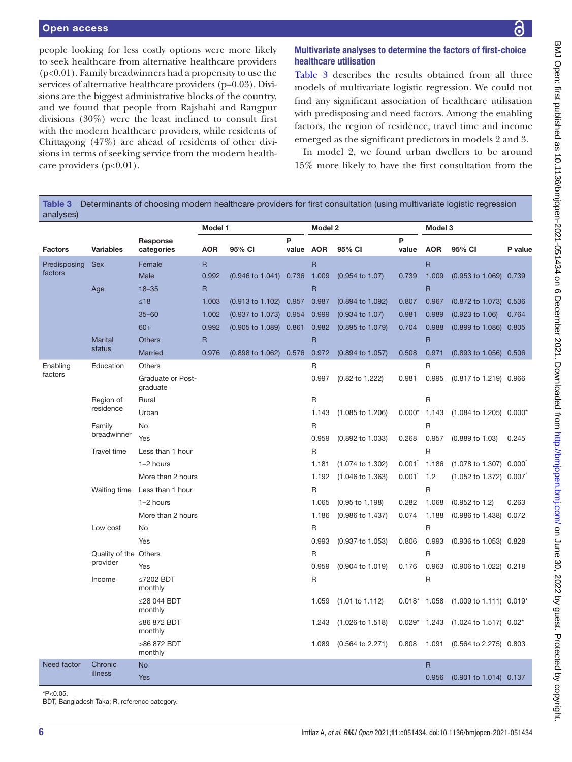people looking for less costly options were more likely Multivariate analyses to determine the factors of first-choice healthcare utilisation

[Table](#page-5-0) 3 describes the results obtained from all three models of multivariate logistic regression. We could not find any significant association of healthcare utilisation with predisposing and need factors. Among the enabling factors, the region of residence, travel time and income emerged as the significant predictors in models 2 and 3.

In model 2, we found urban dwellers to be around 15% more likely to have the first consultation from the

to seek healthcare from alternative healthcare providers (p<0.01). Family breadwinners had a propensity to use the services of alternative healthcare providers (p=0.03). Divisions are the biggest administrative blocks of the country, and we found that people from Rajshahi and Rangpur divisions (30%) were the least inclined to consult first with the modern healthcare providers, while residents of Chittagong (47%) are ahead of residents of other divisions in terms of seeking service from the modern healthcare providers  $(p<0.01)$ .

<span id="page-5-0"></span>Table 3 Determinants of choosing modern healthcare providers for first consultation (using multivariate logistic regression analyses)

| ,   ,          |                       |                                      | Model 1      |                             | Model 2   |                |                             | Model 3  |                         |                                    |         |
|----------------|-----------------------|--------------------------------------|--------------|-----------------------------|-----------|----------------|-----------------------------|----------|-------------------------|------------------------------------|---------|
|                |                       | Response                             |              |                             | P         |                |                             | P        |                         |                                    |         |
| <b>Factors</b> | <b>Variables</b>      | categories                           | <b>AOR</b>   | 95% CI                      | value AOR |                | 95% CI                      | value    | <b>AOR</b>              | 95% CI                             | P value |
| Predisposing   | <b>Sex</b>            | Female                               | $\mathsf{R}$ |                             |           | R              |                             |          | R                       |                                    |         |
| factors        |                       | Male                                 | 0.992        | (0.946 to 1.041) 0.736      |           | 1.009          | $(0.954 \text{ to } 1.07)$  | 0.739    | 1.009                   | (0.953 to 1.069) 0.739             |         |
|                | Age                   | $18 - 35$                            | $\mathsf{R}$ |                             |           | $\overline{R}$ |                             |          | $\overline{\mathsf{R}}$ |                                    |         |
|                |                       | $≤18$                                | 1.003        | $(0.913 \text{ to } 1.102)$ | 0.957     | 0.987          | (0.894 to 1.092)            | 0.807    | 0.967                   | (0.872 to 1.073) 0.536             |         |
|                |                       | $35 - 60$                            | 1.002        | $(0.937 \text{ to } 1.073)$ | 0.954     | 0.999          | (0.934 to 1.07)             | 0.981    | 0.989                   | $(0.923 \text{ to } 1.06)$         | 0.764   |
|                |                       | $60+$                                | 0.992        | $(0.905 \text{ to } 1.089)$ | 0.861     | 0.982          | (0.895 to 1.079)            | 0.704    | 0.988                   | (0.899 to 1.086) 0.805             |         |
|                | <b>Marital</b>        | <b>Others</b>                        | $\mathsf{R}$ |                             |           | $\mathsf{R}$   |                             |          | R                       |                                    |         |
|                | status                | Married                              | 0.976        | $(0.898 \text{ to } 1.062)$ | 0.576     | 0.972          | (0.894 to 1.057)            | 0.508    | 0.971                   | (0.893 to 1.056) 0.506             |         |
| Enabling       | Education             | Others                               |              |                             |           | R              |                             |          | R                       |                                    |         |
| factors        |                       | <b>Graduate or Post-</b><br>graduate |              |                             |           | 0.997          | $(0.82 \text{ to } 1.222)$  | 0.981    | 0.995                   | (0.817 to 1.219) 0.966             |         |
|                | Region of             | Rural                                |              |                             |           | $\mathsf R$    |                             |          | R                       |                                    |         |
|                | residence             | Urban                                |              |                             |           | 1.143          | $(1.085 \text{ to } 1.206)$ | $0.000*$ | 1.143                   | (1.084 to 1.205) 0.000*            |         |
|                | Family                | <b>No</b>                            |              |                             |           | $\mathsf{R}$   |                             |          | R                       |                                    |         |
|                | breadwinner           | Yes                                  |              |                             |           | 0.959          | (0.892 to 1.033)            | 0.268    | 0.957                   | $(0.889 \text{ to } 1.03)$         | 0.245   |
|                | Travel time           | Less than 1 hour                     |              |                             |           | $\mathsf{R}$   |                             |          | R                       |                                    |         |
|                |                       | 1-2 hours                            |              |                             |           | 1.181          | (1.074 to 1.302)            | 0.001    | 1.186                   | $(1.078 \text{ to } 1.307)$ 0.000  |         |
|                |                       | More than 2 hours                    |              |                             |           | 1.192          | $(1.046 \text{ to } 1.363)$ | 0.001    | 1.2                     | $(1.052 \text{ to } 1.372)$ 0.007  |         |
|                | Waiting time          | Less than 1 hour                     |              |                             |           | $\mathsf{R}$   |                             |          | $\mathsf{R}$            |                                    |         |
|                |                       | 1-2 hours                            |              |                             |           | 1.065          | $(0.95 \text{ to } 1.198)$  | 0.282    | 1.068                   | $(0.952 \text{ to } 1.2)$          | 0.263   |
|                |                       | More than 2 hours                    |              |                             |           | 1.186          | (0.986 to 1.437)            | 0.074    | 1.188                   | (0.986 to 1.438) 0.072             |         |
|                | Low cost              | No                                   |              |                             |           | R              |                             |          | R                       |                                    |         |
|                |                       | Yes                                  |              |                             |           | 0.993          | $(0.937 \text{ to } 1.053)$ | 0.806    | 0.993                   | (0.936 to 1.053) 0.828             |         |
|                | Quality of the Others |                                      |              |                             |           | R              |                             |          | R                       |                                    |         |
|                | provider              | Yes                                  |              |                             |           | 0.959          | (0.904 to 1.019)            | 0.176    | 0.963                   | (0.906 to 1.022) 0.218             |         |
|                | Income                | ≤7202 BDT<br>monthly                 |              |                             |           | R              |                             |          | R                       |                                    |         |
|                |                       | ≤28 044 BDT<br>monthly               |              |                             |           | 1.059          | $(1.01 \text{ to } 1.112)$  | $0.018*$ | 1.058                   | $(1.009 \text{ to } 1.111)$ 0.019* |         |
|                |                       | ≤86 872 BDT<br>monthly               |              |                             |           | 1.243          | $(1.026 \text{ to } 1.518)$ | $0.029*$ | 1.243                   | $(1.024 \text{ to } 1.517)$ 0.02*  |         |
|                |                       | >86 872 BDT<br>monthly               |              |                             |           | 1.089          | $(0.564 \text{ to } 2.271)$ | 0.808    | 1.091                   | $(0.564 \text{ to } 2.275)$ 0.803  |         |
| Need factor    | Chronic               | <b>No</b>                            |              |                             |           |                |                             |          | $\mathsf{R}$            |                                    |         |
|                | illness               | <b>Yes</b>                           |              |                             |           |                |                             |          | 0.956                   | (0.901 to 1.014) 0.137             |         |

 $*P<0.05$ 

BDT, Bangladesh Taka; R, reference category.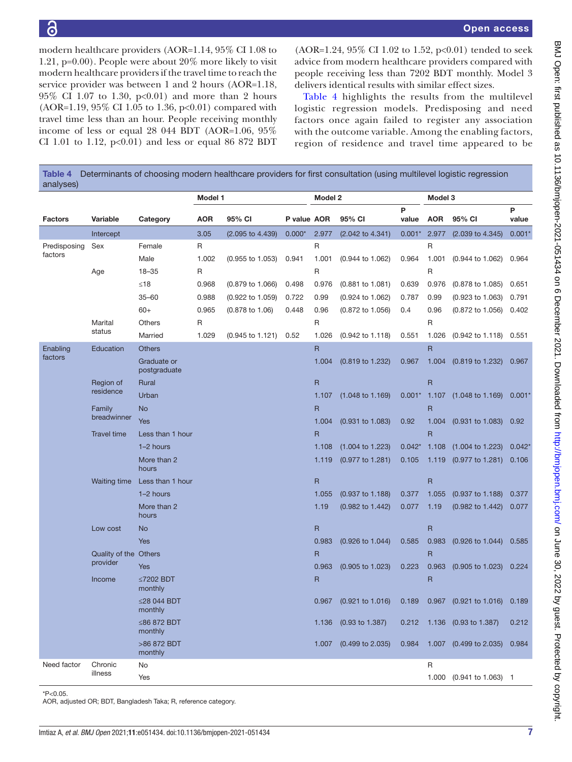modern healthcare providers (AOR=1.14, 95% CI 1.08 to 1.21, p=0.00). People were about 20% more likely to visit modern healthcare providers if the travel time to reach the service provider was between 1 and 2 hours (AOR=1.18, 95% CI 1.07 to 1.30, p<0.01) and more than 2 hours (AOR=1.19, 95% CI 1.05 to 1.36, p<0.01) compared with travel time less than an hour. People receiving monthly income of less or equal 28 044 BDT (AOR=1.06, 95% CI 1.01 to 1.12,  $p<0.01$  and less or equal 86 872 BDT

 $(AOR=1.24, 95\% \text{ CI } 1.02 \text{ to } 1.52, \text{ p} < 0.01)$  tended to seek advice from modern healthcare providers compared with people receiving less than 7202 BDT monthly. Model 3 delivers identical results with similar effect sizes.

[Table](#page-6-0) 4 highlights the results from the multilevel logistic regression models. Predisposing and need factors once again failed to register any association with the outcome variable. Among the enabling factors, region of residence and travel time appeared to be

<span id="page-6-0"></span>

| Table 4<br>analyses) |                       |                             |            |                             |             |              | Determinants of choosing modern healthcare providers for first consultation (using multilevel logistic regression |                |                         |                               |            |
|----------------------|-----------------------|-----------------------------|------------|-----------------------------|-------------|--------------|-------------------------------------------------------------------------------------------------------------------|----------------|-------------------------|-------------------------------|------------|
|                      |                       |                             | Model 1    |                             |             | Model 2      |                                                                                                                   | Model 3        |                         |                               |            |
| <b>Factors</b>       | Variable              | Category                    | <b>AOR</b> | 95% CI                      | P value AOR |              | 95% CI                                                                                                            | P<br>value     | <b>AOR</b>              | 95% CI                        | P<br>value |
|                      | Intercept             |                             | 3.05       | (2.095 to 4.439)            | $0.000*$    | 2.977        | (2.042 to 4.341)                                                                                                  | $0.001*$ 2.977 |                         | $(2.039 \text{ to } 4.345)$   | 0.001      |
| Predisposing         | Sex                   | Female                      | R          |                             |             | R            |                                                                                                                   |                | R                       |                               |            |
| factors              |                       | Male                        | 1.002      | $(0.955$ to 1.053)          | 0.941       | 1.001        | $(0.944 \text{ to } 1.062)$                                                                                       | 0.964          | 1.001                   | $(0.944 \text{ to } 1.062)$   | 0.964      |
|                      | Age                   | $18 - 35$                   | R          |                             |             | $\mathsf R$  |                                                                                                                   |                | R                       |                               |            |
|                      |                       | ≤18                         | 0.968      | $(0.879 \text{ to } 1.066)$ | 0.498       | 0.976        | $(0.881$ to 1.081)                                                                                                | 0.639          | 0.976                   | (0.878 to 1.085)              | 0.651      |
|                      |                       | $35 - 60$                   | 0.988      | (0.922 to 1.059)            | 0.722       | 0.99         | (0.924 to 1.062)                                                                                                  | 0.787          | 0.99                    | $(0.923 \text{ to } 1.063)$   | 0.791      |
|                      |                       | $60+$                       | 0.965      | $(0.878 \text{ to } 1.06)$  | 0.448       | 0.96         | $(0.872 \text{ to } 1.056)$                                                                                       | 0.4            | 0.96                    | $(0.872 \text{ to } 1.056)$   | 0.402      |
|                      | Marital               | Others                      | R          |                             |             | $\mathsf R$  |                                                                                                                   |                | $\mathsf R$             |                               |            |
|                      | status                | Married                     | 1.029      | $(0.945 \text{ to } 1.121)$ | 0.52        | 1.026        | (0.942 to 1.118)                                                                                                  | 0.551          | 1.026                   | (0.942 to 1.118)              | 0.551      |
| Enabling             | Education             | <b>Others</b>               |            |                             |             | $\mathsf{R}$ |                                                                                                                   |                | $\overline{R}$          |                               |            |
| factors              |                       | Graduate or<br>postgraduate |            |                             |             | 1.004        | (0.819 to 1.232)                                                                                                  | 0.967          | 1.004                   | $(0.819 \text{ to } 1.232)$   | 0.967      |
|                      | Region of             | Rural                       |            |                             |             | ${\sf R}$    |                                                                                                                   |                | $\mathsf{R}$            |                               |            |
|                      | residence             | Urban                       |            |                             |             | 1.107        | $(1.048 \text{ to } 1.169)$                                                                                       | $0.001*$       | 1.107                   | $(1.048 \text{ to } 1.169)$   | 0.001      |
|                      | Family                | <b>No</b>                   |            |                             |             | $\mathsf{R}$ |                                                                                                                   |                | $\overline{R}$          |                               |            |
|                      | breadwinner           | Yes                         |            |                             |             | 1.004        | $(0.931$ to 1.083)                                                                                                | 0.92           | 1.004                   | $(0.931$ to 1.083)            | 0.92       |
|                      | <b>Travel time</b>    | Less than 1 hour            |            |                             |             | $\mathsf{R}$ |                                                                                                                   |                | $\mathsf{R}$            |                               |            |
|                      |                       | 1-2 hours                   |            |                             |             | 1.108        | $(1.004 \text{ to } 1.223)$                                                                                       | $0.042*$       | 1.108                   | $(1.004 \text{ to } 1.223)$   | 0.042      |
|                      |                       | More than 2<br>hours        |            |                             |             | 1.119        | (0.977 to 1.281)                                                                                                  | 0.105          | 1.119                   | $(0.977$ to 1.281)            | 0.106      |
|                      | <b>Waiting time</b>   | Less than 1 hour            |            |                             |             | $\mathsf R$  |                                                                                                                   |                | $\mathsf R$             |                               |            |
|                      |                       | 1-2 hours                   |            |                             |             | 1.055        | $(0.937 \text{ to } 1.188)$                                                                                       | 0.377          | 1.055                   | $(0.937 \text{ to } 1.188)$   | 0.377      |
|                      |                       | More than 2<br>hours        |            |                             |             | 1.19         | (0.982 to 1.442)                                                                                                  | 0.077          | 1.19                    | $(0.982 \text{ to } 1.442)$   | 0.077      |
|                      | Low cost              | <b>No</b>                   |            |                             |             | $\mathsf R$  |                                                                                                                   |                | $\mathsf R$             |                               |            |
|                      |                       | Yes                         |            |                             |             | 0.983        | $(0.926 \text{ to } 1.044)$                                                                                       | 0.585          | 0.983                   | $(0.926 \text{ to } 1.044)$   | 0.585      |
|                      | Quality of the Others |                             |            |                             |             | $\mathsf{R}$ |                                                                                                                   |                | $\overline{R}$          |                               |            |
|                      | provider              | Yes                         |            |                             |             | 0.963        | $(0.905 \text{ to } 1.023)$                                                                                       | 0.223          | 0.963                   | $(0.905 \text{ to } 1.023)$   | 0.224      |
|                      | Income                | ≤7202 BDT<br>monthly        |            |                             |             | $\mathsf{R}$ |                                                                                                                   |                | $\overline{\mathsf{R}}$ |                               |            |
|                      |                       | ≤28 044 BDT<br>monthly      |            |                             |             |              | 0.967 (0.921 to 1.016) 0.189 0.967 (0.921 to 1.016) 0.189                                                         |                |                         |                               |            |
|                      |                       | ≤86 872 BDT<br>monthly      |            |                             |             | 1.136        | $(0.93 \text{ to } 1.387)$                                                                                        |                |                         | 0.212 1.136 (0.93 to 1.387)   | 0.212      |
|                      |                       | >86 872 BDT<br>monthly      |            |                             |             |              | 1.007 (0.499 to 2.035)                                                                                            | 0.984          |                         | 1.007 (0.499 to 2.035)        | 0.984      |
| Need factor          | Chronic               | No                          |            |                             |             |              |                                                                                                                   |                | $\mathsf R$             |                               |            |
|                      | illness               | Yes                         |            |                             |             |              |                                                                                                                   |                | 1.000                   | $(0.941 \text{ to } 1.063)$ 1 |            |

 $*P<0.05$ 

AOR, adjusted OR; BDT, Bangladesh Taka; R, reference category.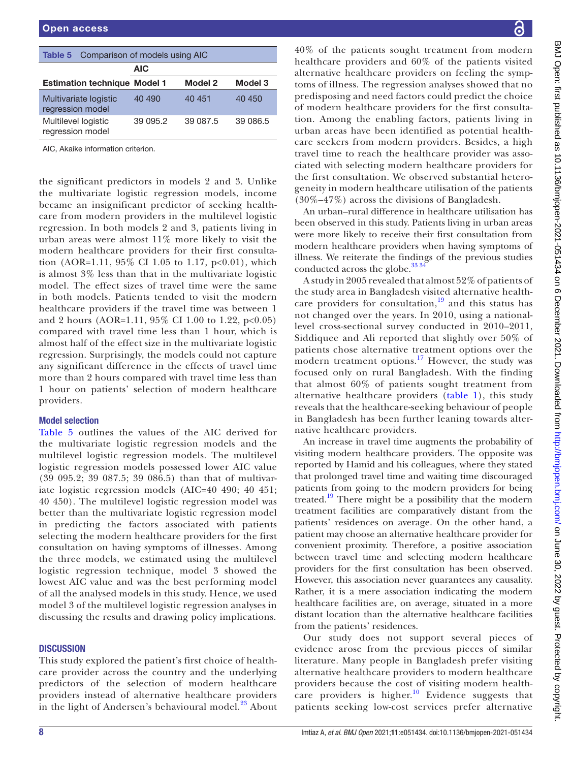<span id="page-7-0"></span>

|                                           | <b>Table 5</b> Comparison of models using AIC |         |          |  |  |  |  |  |
|-------------------------------------------|-----------------------------------------------|---------|----------|--|--|--|--|--|
|                                           | <b>AIC</b>                                    |         |          |  |  |  |  |  |
| <b>Estimation technique Model 1</b>       |                                               | Model 2 | Model 3  |  |  |  |  |  |
| Multivariate logistic<br>regression model | 40 490                                        | 40 451  | 40 450   |  |  |  |  |  |
| Multilevel logistic<br>regression model   | 39 095.2                                      |         | 39 086.5 |  |  |  |  |  |
| AIC, Akaike information criterion.        |                                               |         |          |  |  |  |  |  |

the significant predictors in models 2 and 3. Unlike the multivariate logistic regression models, income became an insignificant predictor of seeking healthcare from modern providers in the multilevel logistic regression. In both models 2 and 3, patients living in urban areas were almost 11% more likely to visit the modern healthcare providers for their first consultation (AOR=1.11, 95% CI 1.05 to 1.17,  $p<0.01$ ), which is almost 3% less than that in the multivariate logistic model. The effect sizes of travel time were the same in both models. Patients tended to visit the modern healthcare providers if the travel time was between 1 and 2 hours (AOR=1.11, 95% CI 1.00 to 1.22, p<0.05) compared with travel time less than 1 hour, which is almost half of the effect size in the multivariate logistic regression. Surprisingly, the models could not capture any significant difference in the effects of travel time more than 2 hours compared with travel time less than 1 hour on patients' selection of modern healthcare providers.

# Model selection

[Table](#page-7-0) 5 outlines the values of the AIC derived for the multivariate logistic regression models and the multilevel logistic regression models. The multilevel logistic regression models possessed lower AIC value (39 095.2; 39 087.5; 39 086.5) than that of multivariate logistic regression models (AIC=40 490; 40 451; 40 450). The multilevel logistic regression model was better than the multivariate logistic regression model in predicting the factors associated with patients selecting the modern healthcare providers for the first consultation on having symptoms of illnesses. Among the three models, we estimated using the multilevel logistic regression technique, model 3 showed the lowest AIC value and was the best performing model of all the analysed models in this study. Hence, we used model 3 of the multilevel logistic regression analyses in discussing the results and drawing policy implications.

# **DISCUSSION**

This study explored the patient's first choice of healthcare provider across the country and the underlying predictors of the selection of modern healthcare providers instead of alternative healthcare providers in the light of Andersen's behavioural model.<sup>[23](#page-9-13)</sup> About

40% of the patients sought treatment from modern healthcare providers and 60% of the patients visited alternative healthcare providers on feeling the symptoms of illness. The regression analyses showed that no predisposing and need factors could predict the choice of modern healthcare providers for the first consultation. Among the enabling factors, patients living in urban areas have been identified as potential healthcare seekers from modern providers. Besides, a high travel time to reach the healthcare provider was associated with selecting modern healthcare providers for the first consultation. We observed substantial heterogeneity in modern healthcare utilisation of the patients (30%–47%) across the divisions of Bangladesh.

An urban–rural difference in healthcare utilisation has been observed in this study. Patients living in urban areas were more likely to receive their first consultation from modern healthcare providers when having symptoms of illness. We reiterate the findings of the previous studies conducted across the globe. $33\frac{34}{1}$ 

A study in 2005 revealed that almost 52% of patients of the study area in Bangladesh visited alternative healthcare providers for consultation, $\frac{19}{19}$  and this status has not changed over the years. In 2010, using a nationallevel cross-sectional survey conducted in 2010–2011, Siddiquee and Ali reported that slightly over 50% of patients chose alternative treatment options over the modern treatment options.<sup>[17](#page-9-9)</sup> However, the study was focused only on rural Bangladesh. With the finding that almost 60% of patients sought treatment from alternative healthcare providers [\(table](#page-3-0) 1), this study reveals that the healthcare-seeking behaviour of people in Bangladesh has been further leaning towards alternative healthcare providers.

An increase in travel time augments the probability of visiting modern healthcare providers. The opposite was reported by Hamid and his colleagues, where they stated that prolonged travel time and waiting time discouraged patients from going to the modern providers for being treated.<sup>[19](#page-9-22)</sup> There might be a possibility that the modern treatment facilities are comparatively distant from the patients' residences on average. On the other hand, a patient may choose an alternative healthcare provider for convenient proximity. Therefore, a positive association between travel time and selecting modern healthcare providers for the first consultation has been observed. However, this association never guarantees any causality. Rather, it is a mere association indicating the modern healthcare facilities are, on average, situated in a more distant location than the alternative healthcare facilities from the patients' residences.

Our study does not support several pieces of evidence arose from the previous pieces of similar literature. Many people in Bangladesh prefer visiting alternative healthcare providers to modern healthcare providers because the cost of visiting modern healthcare providers is higher.<sup>10</sup> Evidence suggests that patients seeking low-cost services prefer alternative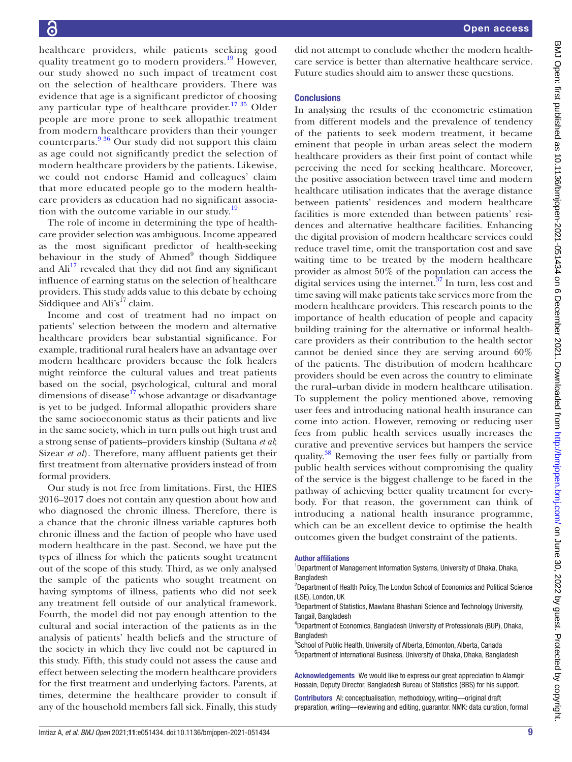healthcare providers, while patients seeking good quality treatment go to modern providers.<sup>[19](#page-9-22)</sup> However, our study showed no such impact of treatment cost on the selection of healthcare providers. There was evidence that age is a significant predictor of choosing any particular type of healthcare provider.<sup>[17 35](#page-9-9)</sup> Older people are more prone to seek allopathic treatment from modern healthcare providers than their younger counterparts.[9 36](#page-9-5) Our study did not support this claim as age could not significantly predict the selection of modern healthcare providers by the patients. Likewise, we could not endorse Hamid and colleagues' claim that more educated people go to the modern healthcare providers as education had no significant associa-tion with the outcome variable in our study.<sup>[19](#page-9-22)</sup>

The role of income in determining the type of healthcare provider selection was ambiguous. Income appeared as the most significant predictor of health-seeking behaviour in the study of Ahmed<sup>9</sup> though Siddiquee and  $\text{Ali}^{17}$  revealed that they did not find any significant influence of earning status on the selection of healthcare providers. This study adds value to this debate by echoing Siddiquee and  $\text{Ali's}^{\text{17}}$  claim.

Income and cost of treatment had no impact on patients' selection between the modern and alternative healthcare providers bear substantial significance. For example, traditional rural healers have an advantage over modern healthcare providers because the folk healers might reinforce the cultural values and treat patients based on the social, psychological, cultural and moral dimensions of disease $17$  whose advantage or disadvantage is yet to be judged. Informal allopathic providers share the same socioeconomic status as their patients and live in the same society, which in turn pulls out high trust and a strong sense of patients–providers kinship (Sultana *et al*; Sizear *et al*). Therefore, many affluent patients get their first treatment from alternative providers instead of from formal providers.

Our study is not free from limitations. First, the HIES 2016–2017 does not contain any question about how and who diagnosed the chronic illness. Therefore, there is a chance that the chronic illness variable captures both chronic illness and the faction of people who have used modern healthcare in the past. Second, we have put the types of illness for which the patients sought treatment out of the scope of this study. Third, as we only analysed the sample of the patients who sought treatment on having symptoms of illness, patients who did not seek any treatment fell outside of our analytical framework. Fourth, the model did not pay enough attention to the cultural and social interaction of the patients as in the analysis of patients' health beliefs and the structure of the society in which they live could not be captured in this study. Fifth, this study could not assess the cause and effect between selecting the modern healthcare providers for the first treatment and underlying factors. Parents, at times, determine the healthcare provider to consult if any of the household members fall sick. Finally, this study

did not attempt to conclude whether the modern healthcare service is better than alternative healthcare service. Future studies should aim to answer these questions.

# **Conclusions**

In analysing the results of the econometric estimation from different models and the prevalence of tendency of the patients to seek modern treatment, it became eminent that people in urban areas select the modern healthcare providers as their first point of contact while perceiving the need for seeking healthcare. Moreover, the positive association between travel time and modern healthcare utilisation indicates that the average distance between patients' residences and modern healthcare facilities is more extended than between patients' residences and alternative healthcare facilities. Enhancing the digital provision of modern healthcare services could reduce travel time, omit the transportation cost and save waiting time to be treated by the modern healthcare provider as almost 50% of the population can access the digital services using the internet. $37$  In turn, less cost and time saving will make patients take services more from the modern healthcare providers. This research points to the importance of health education of people and capacity building training for the alternative or informal healthcare providers as their contribution to the health sector cannot be denied since they are serving around 60% of the patients. The distribution of modern healthcare providers should be even across the country to eliminate the rural–urban divide in modern healthcare utilisation. To supplement the policy mentioned above, removing user fees and introducing national health insurance can come into action. However, removing or reducing user fees from public health services usually increases the curative and preventive services but hampers the service quality.[38](#page-9-25) Removing the user fees fully or partially from public health services without compromising the quality of the service is the biggest challenge to be faced in the pathway of achieving better quality treatment for everybody. For that reason, the government can think of introducing a national health insurance programme, which can be an excellent device to optimise the health outcomes given the budget constraint of the patients.

#### Author affiliations

<sup>1</sup>Department of Management Information Systems, University of Dhaka, Dhaka, **Bangladesh** 

<sup>2</sup>Department of Health Policy, The London School of Economics and Political Science (LSE), London, UK

<sup>3</sup>Department of Statistics, Mawlana Bhashani Science and Technology University, Tangail, Bangladesh

4 Department of Economics, Bangladesh University of Professionals (BUP), Dhaka, **Bangladesh** 

<sup>5</sup>School of Public Health, University of Alberta, Edmonton, Alberta, Canada <sup>6</sup>Department of International Business, University of Dhaka, Dhaka, Bangladesh

Acknowledgements We would like to express our great appreciation to Alamgir Hossain, Deputy Director, Bangladesh Bureau of Statistics (BBS) for his support.

Contributors AI: conceptualisation, methodology, writing—original draft preparation, writing—reviewing and editing, guarantor. NMK: data curation, formal